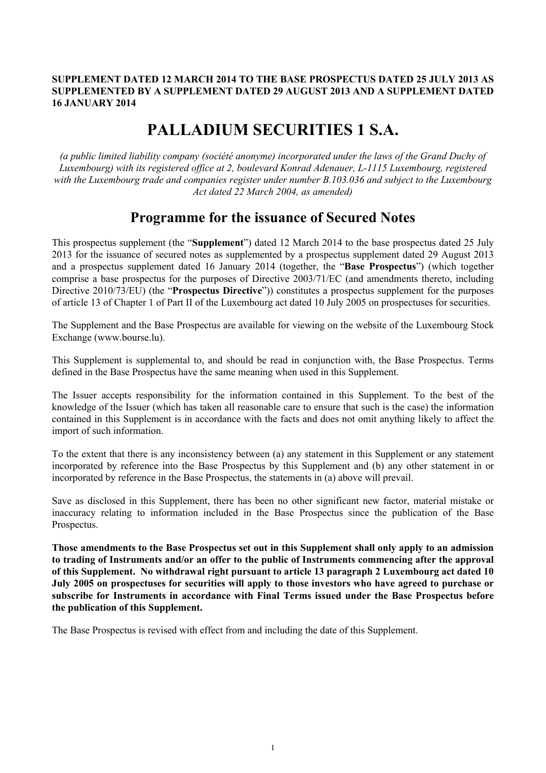## **SUPPLEMENT DATED 12 MARCH 2014 TO THE BASE PROSPECTUS DATED 25 JULY 2013 AS SUPPLEMENTED BY A SUPPLEMENT DATED 29 AUGUST 2013 AND A SUPPLEMENT DATED 16 JANUARY 2014**

# **PALLADIUM SECURITIES 1 S.A.**

*(a public limited liability company (société anonyme) incorporated under the laws of the Grand Duchy of Luxembourg) with its registered office at 2, boulevard Konrad Adenauer, L-1115 Luxembourg, registered with the Luxembourg trade and companies register under number B.103.036 and subject to the Luxembourg Act dated 22 March 2004, as amended)*

## **Programme for the issuance of Secured Notes**

This prospectus supplement (the "**Supplement**") dated 12 March 2014 to the base prospectus dated 25 July 2013 for the issuance of secured notes as supplemented by a prospectus supplement dated 29 August 2013 and a prospectus supplement dated 16 January 2014 (together, the "**Base Prospectus**") (which together comprise a base prospectus for the purposes of Directive 2003/71/EC (and amendments thereto, including Directive 2010/73/EU) (the "**Prospectus Directive**")) constitutes a prospectus supplement for the purposes of article 13 of Chapter 1 of Part II of the Luxembourg act dated 10 July 2005 on prospectuses for securities.

The Supplement and the Base Prospectus are available for viewing on the website of the Luxembourg Stock Exchange (www.bourse.lu).

This Supplement is supplemental to, and should be read in conjunction with, the Base Prospectus. Terms defined in the Base Prospectus have the same meaning when used in this Supplement.

The Issuer accepts responsibility for the information contained in this Supplement. To the best of the knowledge of the Issuer (which has taken all reasonable care to ensure that such is the case) the information contained in this Supplement is in accordance with the facts and does not omit anything likely to affect the import of such information.

To the extent that there is any inconsistency between (a) any statement in this Supplement or any statement incorporated by reference into the Base Prospectus by this Supplement and (b) any other statement in or incorporated by reference in the Base Prospectus, the statements in (a) above will prevail.

Save as disclosed in this Supplement, there has been no other significant new factor, material mistake or inaccuracy relating to information included in the Base Prospectus since the publication of the Base Prospectus.

**Those amendments to the Base Prospectus set out in this Supplement shall only apply to an admission to trading of Instruments and/or an offer to the public of Instruments commencing after the approval of this Supplement. No withdrawal right pursuant to article 13 paragraph 2 Luxembourg act dated 10 July 2005 on prospectuses for securities will apply to those investors who have agreed to purchase or subscribe for Instruments in accordance with Final Terms issued under the Base Prospectus before the publication of this Supplement.**

The Base Prospectus is revised with effect from and including the date of this Supplement.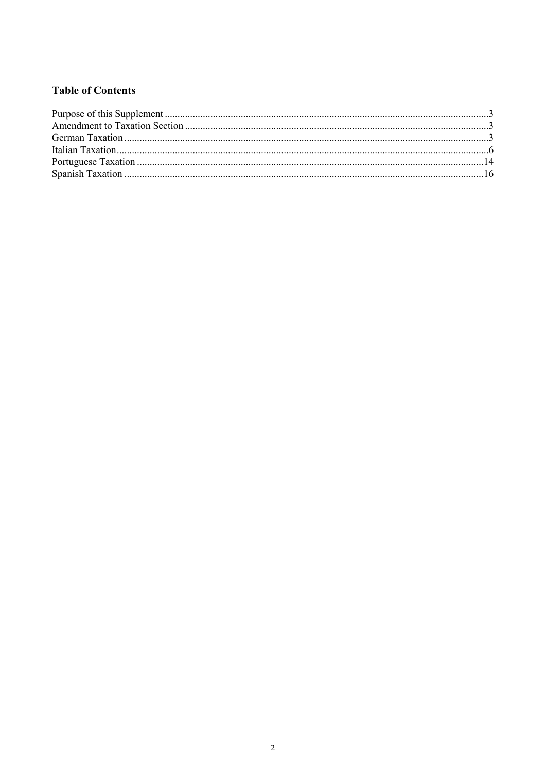## **Table of Contents**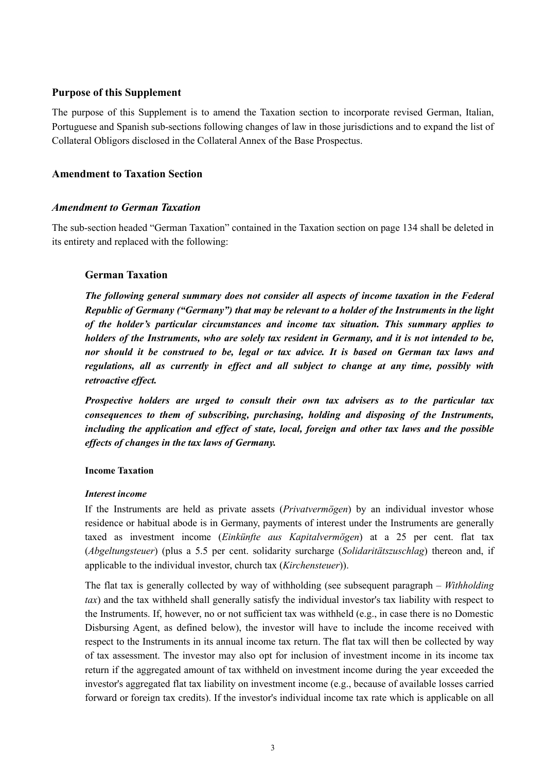## **Purpose of this Supplement**

The purpose of this Supplement is to amend the Taxation section to incorporate revised German, Italian, Portuguese and Spanish sub-sections following changes of law in those jurisdictions and to expand the list of Collateral Obligors disclosed in the Collateral Annex of the Base Prospectus.

## **Amendment to Taxation Section**

## *Amendment to German Taxation*

The sub-section headed "German Taxation" contained in the Taxation section on page 134 shall be deleted in its entirety and replaced with the following:

## **German Taxation**

*The following general summary does not consider all aspects of income taxation in the Federal Republic of Germany ("Germany") that may be relevant to a holder of the Instruments in the light of the holder's particular circumstances and income tax situation. This summary applies to holders of the Instruments, who are solely tax resident in Germany, and it is not intended to be, nor should it be construed to be, legal or tax advice. It is based on German tax laws and regulations, all as currently in effect and all subject to change at any time, possibly with retroactive effect.* 

*Prospective holders are urged to consult their own tax advisers as to the particular tax consequences to them of subscribing, purchasing, holding and disposing of the Instruments, including the application and effect of state, local, foreign and other tax laws and the possible effects of changes in the tax laws of Germany.*

## **Income Taxation**

## *Interest income*

If the Instruments are held as private assets (*Privatvermögen*) by an individual investor whose residence or habitual abode is in Germany, payments of interest under the Instruments are generally taxed as investment income (*Einkünfte aus Kapitalvermögen*) at a 25 per cent. flat tax (*Abgeltungsteuer*) (plus a 5.5 per cent. solidarity surcharge (*Solidaritätszuschlag*) thereon and, if applicable to the individual investor, church tax (*Kirchensteuer*)).

The flat tax is generally collected by way of withholding (see subsequent paragraph – *Withholding tax*) and the tax withheld shall generally satisfy the individual investor's tax liability with respect to the Instruments. If, however, no or not sufficient tax was withheld (e.g., in case there is no Domestic Disbursing Agent, as defined below), the investor will have to include the income received with respect to the Instruments in its annual income tax return. The flat tax will then be collected by way of tax assessment. The investor may also opt for inclusion of investment income in its income tax return if the aggregated amount of tax withheld on investment income during the year exceeded the investor's aggregated flat tax liability on investment income (e.g., because of available losses carried forward or foreign tax credits). If the investor's individual income tax rate which is applicable on all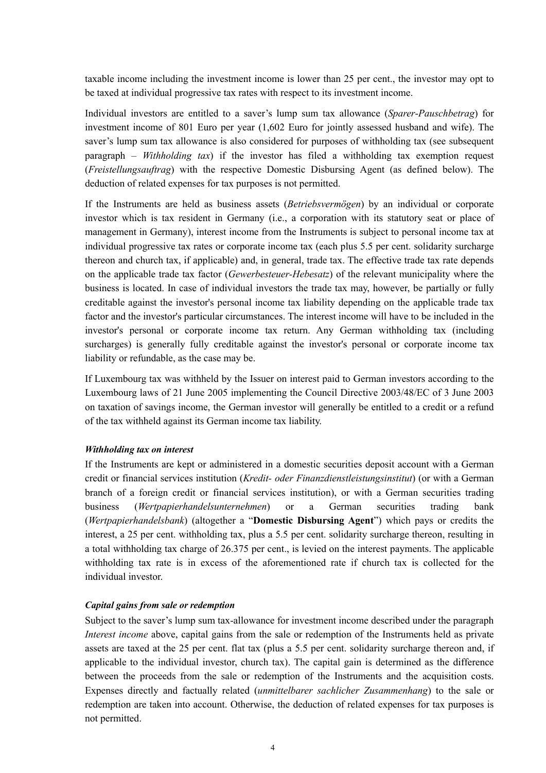taxable income including the investment income is lower than 25 per cent., the investor may opt to be taxed at individual progressive tax rates with respect to its investment income.

Individual investors are entitled to a saver's lump sum tax allowance (*Sparer*-*Pauschbetrag*) for investment income of 801 Euro per year (1,602 Euro for jointly assessed husband and wife). The saver's lump sum tax allowance is also considered for purposes of withholding tax (see subsequent paragraph – *Withholding tax*) if the investor has filed a withholding tax exemption request (*Freistellungsauftrag*) with the respective Domestic Disbursing Agent (as defined below). The deduction of related expenses for tax purposes is not permitted.

If the Instruments are held as business assets (*Betriebsvermögen*) by an individual or corporate investor which is tax resident in Germany (i.e., a corporation with its statutory seat or place of management in Germany), interest income from the Instruments is subject to personal income tax at individual progressive tax rates or corporate income tax (each plus 5.5 per cent. solidarity surcharge thereon and church tax, if applicable) and, in general, trade tax. The effective trade tax rate depends on the applicable trade tax factor (*Gewerbesteuer-Hebesatz*) of the relevant municipality where the business is located. In case of individual investors the trade tax may, however, be partially or fully creditable against the investor's personal income tax liability depending on the applicable trade tax factor and the investor's particular circumstances. The interest income will have to be included in the investor's personal or corporate income tax return. Any German withholding tax (including surcharges) is generally fully creditable against the investor's personal or corporate income tax liability or refundable, as the case may be.

If Luxembourg tax was withheld by the Issuer on interest paid to German investors according to the Luxembourg laws of 21 June 2005 implementing the Council Directive 2003/48/EC of 3 June 2003 on taxation of savings income, the German investor will generally be entitled to a credit or a refund of the tax withheld against its German income tax liability.

#### *Withholding tax on interest*

If the Instruments are kept or administered in a domestic securities deposit account with a German credit or financial services institution (*Kredit- oder Finanzdienstleistungsinstitut*) (or with a German branch of a foreign credit or financial services institution), or with a German securities trading business (*Wertpapierhandelsunternehmen*) or a German securities trading bank (*Wertpapierhandelsbank*) (altogether a "**Domestic Disbursing Agent**") which pays or credits the interest, a 25 per cent. withholding tax, plus a 5.5 per cent. solidarity surcharge thereon, resulting in a total withholding tax charge of 26.375 per cent., is levied on the interest payments. The applicable withholding tax rate is in excess of the aforementioned rate if church tax is collected for the individual investor.

#### *Capital gains from sale or redemption*

Subject to the saver's lump sum tax-allowance for investment income described under the paragraph *Interest income* above, capital gains from the sale or redemption of the Instruments held as private assets are taxed at the 25 per cent. flat tax (plus a 5.5 per cent. solidarity surcharge thereon and, if applicable to the individual investor, church tax). The capital gain is determined as the difference between the proceeds from the sale or redemption of the Instruments and the acquisition costs. Expenses directly and factually related (*unmittelbarer sachlicher Zusammenhang*) to the sale or redemption are taken into account. Otherwise, the deduction of related expenses for tax purposes is not permitted.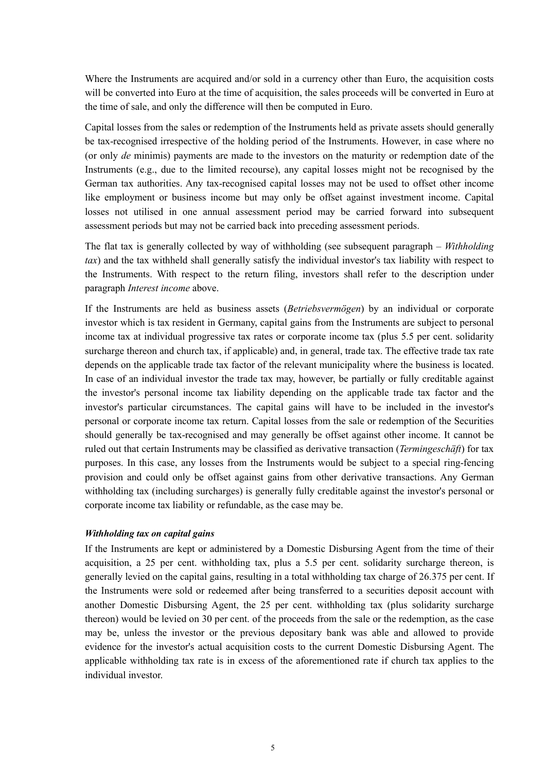Where the Instruments are acquired and/or sold in a currency other than Euro, the acquisition costs will be converted into Euro at the time of acquisition, the sales proceeds will be converted in Euro at the time of sale, and only the difference will then be computed in Euro.

Capital losses from the sales or redemption of the Instruments held as private assets should generally be tax-recognised irrespective of the holding period of the Instruments. However, in case where no (or only *de* minimis) payments are made to the investors on the maturity or redemption date of the Instruments (e.g., due to the limited recourse), any capital losses might not be recognised by the German tax authorities. Any tax-recognised capital losses may not be used to offset other income like employment or business income but may only be offset against investment income. Capital losses not utilised in one annual assessment period may be carried forward into subsequent assessment periods but may not be carried back into preceding assessment periods.

The flat tax is generally collected by way of withholding (see subsequent paragraph – *Withholding tax*) and the tax withheld shall generally satisfy the individual investor's tax liability with respect to the Instruments. With respect to the return filing, investors shall refer to the description under paragraph *Interest income* above.

If the Instruments are held as business assets (*Betriebsvermögen*) by an individual or corporate investor which is tax resident in Germany, capital gains from the Instruments are subject to personal income tax at individual progressive tax rates or corporate income tax (plus 5.5 per cent. solidarity surcharge thereon and church tax, if applicable) and, in general, trade tax. The effective trade tax rate depends on the applicable trade tax factor of the relevant municipality where the business is located. In case of an individual investor the trade tax may, however, be partially or fully creditable against the investor's personal income tax liability depending on the applicable trade tax factor and the investor's particular circumstances. The capital gains will have to be included in the investor's personal or corporate income tax return. Capital losses from the sale or redemption of the Securities should generally be tax-recognised and may generally be offset against other income. It cannot be ruled out that certain Instruments may be classified as derivative transaction (*Termingeschäft*) for tax purposes. In this case, any losses from the Instruments would be subject to a special ring-fencing provision and could only be offset against gains from other derivative transactions. Any German withholding tax (including surcharges) is generally fully creditable against the investor's personal or corporate income tax liability or refundable, as the case may be.

#### *Withholding tax on capital gains*

If the Instruments are kept or administered by a Domestic Disbursing Agent from the time of their acquisition, a 25 per cent. withholding tax, plus a 5.5 per cent. solidarity surcharge thereon, is generally levied on the capital gains, resulting in a total withholding tax charge of 26.375 per cent. If the Instruments were sold or redeemed after being transferred to a securities deposit account with another Domestic Disbursing Agent, the 25 per cent. withholding tax (plus solidarity surcharge thereon) would be levied on 30 per cent. of the proceeds from the sale or the redemption, as the case may be, unless the investor or the previous depositary bank was able and allowed to provide evidence for the investor's actual acquisition costs to the current Domestic Disbursing Agent. The applicable withholding tax rate is in excess of the aforementioned rate if church tax applies to the individual investor.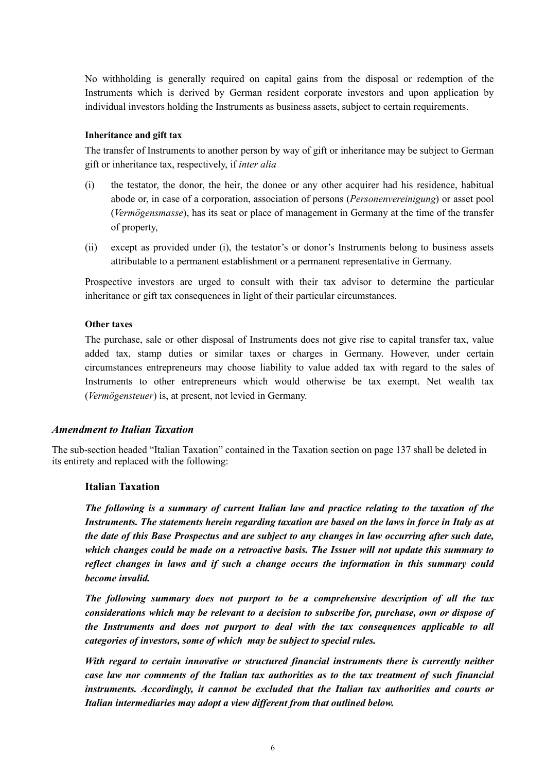No withholding is generally required on capital gains from the disposal or redemption of the Instruments which is derived by German resident corporate investors and upon application by individual investors holding the Instruments as business assets, subject to certain requirements.

## **Inheritance and gift tax**

The transfer of Instruments to another person by way of gift or inheritance may be subject to German gift or inheritance tax, respectively, if *inter alia*

- (i) the testator, the donor, the heir, the donee or any other acquirer had his residence, habitual abode or, in case of a corporation, association of persons (*Personenvereinigung*) or asset pool (*Vermögensmasse*), has its seat or place of management in Germany at the time of the transfer of property,
- (ii) except as provided under (i), the testator's or donor's Instruments belong to business assets attributable to a permanent establishment or a permanent representative in Germany.

Prospective investors are urged to consult with their tax advisor to determine the particular inheritance or gift tax consequences in light of their particular circumstances.

#### **Other taxes**

The purchase, sale or other disposal of Instruments does not give rise to capital transfer tax, value added tax, stamp duties or similar taxes or charges in Germany. However, under certain circumstances entrepreneurs may choose liability to value added tax with regard to the sales of Instruments to other entrepreneurs which would otherwise be tax exempt. Net wealth tax (*Vermögensteuer*) is, at present, not levied in Germany.

## *Amendment to Italian Taxation*

The sub-section headed "Italian Taxation" contained in the Taxation section on page 137 shall be deleted in its entirety and replaced with the following:

## **Italian Taxation**

*The following is a summary of current Italian law and practice relating to the taxation of the Instruments. The statements herein regarding taxation are based on the laws in force in Italy as at the date of this Base Prospectus and are subject to any changes in law occurring after such date, which changes could be made on a retroactive basis. The Issuer will not update this summary to reflect changes in laws and if such a change occurs the information in this summary could become invalid.*

*The following summary does not purport to be a comprehensive description of all the tax considerations which may be relevant to a decision to subscribe for, purchase, own or dispose of the Instruments and does not purport to deal with the tax consequences applicable to all categories of investors, some of which may be subject to special rules.*

*With regard to certain innovative or structured financial instruments there is currently neither case law nor comments of the Italian tax authorities as to the tax treatment of such financial instruments. Accordingly, it cannot be excluded that the Italian tax authorities and courts or Italian intermediaries may adopt a view different from that outlined below.*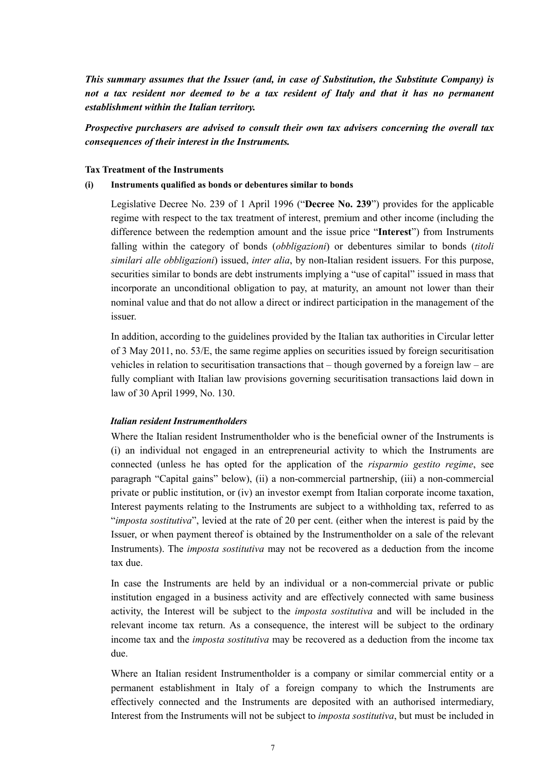*This summary assumes that the Issuer (and, in case of Substitution, the Substitute Company) is not a tax resident nor deemed to be a tax resident of Italy and that it has no permanent establishment within the Italian territory.*

## *Prospective purchasers are advised to consult their own tax advisers concerning the overall tax consequences of their interest in the Instruments.*

#### **Tax Treatment of the Instruments**

#### **(i) Instruments qualified as bonds or debentures similar to bonds**

Legislative Decree No. 239 of 1 April 1996 ("**Decree No. 239**") provides for the applicable regime with respect to the tax treatment of interest, premium and other income (including the difference between the redemption amount and the issue price "**Interest**") from Instruments falling within the category of bonds (*obbligazioni*) or debentures similar to bonds (*titoli similari alle obbligazioni*) issued, *inter alia*, by non-Italian resident issuers. For this purpose, securities similar to bonds are debt instruments implying a "use of capital" issued in mass that incorporate an unconditional obligation to pay, at maturity, an amount not lower than their nominal value and that do not allow a direct or indirect participation in the management of the issuer.

In addition, according to the guidelines provided by the Italian tax authorities in Circular letter of 3 May 2011, no. 53/E, the same regime applies on securities issued by foreign securitisation vehicles in relation to securitisation transactions that – though governed by a foreign law – are fully compliant with Italian law provisions governing securitisation transactions laid down in law of 30 April 1999, No. 130.

## *Italian resident Instrumentholders*

Where the Italian resident Instrumentholder who is the beneficial owner of the Instruments is (i) an individual not engaged in an entrepreneurial activity to which the Instruments are connected (unless he has opted for the application of the *risparmio gestito regime*, see paragraph "Capital gains" below), (ii) a non-commercial partnership, (iii) a non-commercial private or public institution, or (iv) an investor exempt from Italian corporate income taxation, Interest payments relating to the Instruments are subject to a withholding tax, referred to as "*imposta sostitutiva*", levied at the rate of 20 per cent. (either when the interest is paid by the Issuer, or when payment thereof is obtained by the Instrumentholder on a sale of the relevant Instruments). The *imposta sostitutiva* may not be recovered as a deduction from the income tax due.

In case the Instruments are held by an individual or a non-commercial private or public institution engaged in a business activity and are effectively connected with same business activity, the Interest will be subject to the *imposta sostitutiva* and will be included in the relevant income tax return. As a consequence, the interest will be subject to the ordinary income tax and the *imposta sostitutiva* may be recovered as a deduction from the income tax due.

Where an Italian resident Instrumentholder is a company or similar commercial entity or a permanent establishment in Italy of a foreign company to which the Instruments are effectively connected and the Instruments are deposited with an authorised intermediary, Interest from the Instruments will not be subject to *imposta sostitutiva*, but must be included in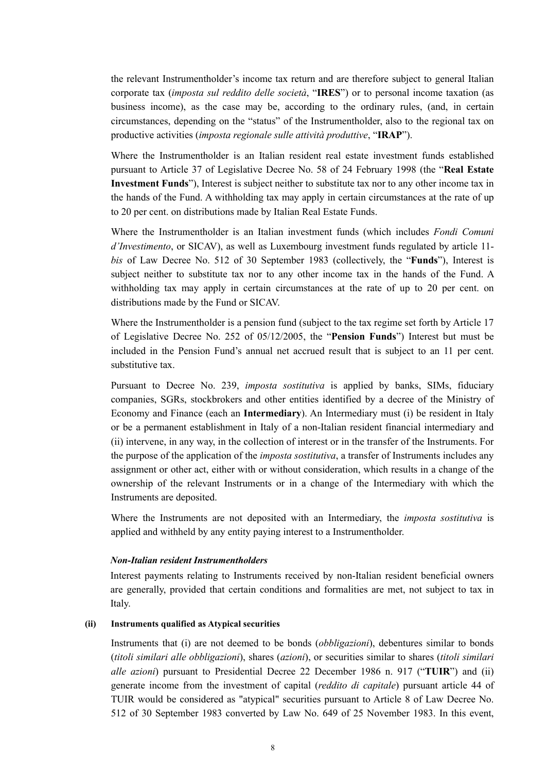the relevant Instrumentholder's income tax return and are therefore subject to general Italian corporate tax (*imposta sul reddito delle società*, "**IRES**") or to personal income taxation (as business income), as the case may be, according to the ordinary rules, (and, in certain circumstances, depending on the "status" of the Instrumentholder, also to the regional tax on productive activities (*imposta regionale sulle attività produttive*, "**IRAP**").

Where the Instrumentholder is an Italian resident real estate investment funds established pursuant to Article 37 of Legislative Decree No. 58 of 24 February 1998 (the "**Real Estate Investment Funds**"), Interest is subject neither to substitute tax nor to any other income tax in the hands of the Fund. A withholding tax may apply in certain circumstances at the rate of up to 20 per cent. on distributions made by Italian Real Estate Funds.

Where the Instrumentholder is an Italian investment funds (which includes *Fondi Comuni d'Investimento*, or SICAV), as well as Luxembourg investment funds regulated by article 11 *bis* of Law Decree No. 512 of 30 September 1983 (collectively, the "**Funds**"), Interest is subject neither to substitute tax nor to any other income tax in the hands of the Fund. A withholding tax may apply in certain circumstances at the rate of up to 20 per cent. on distributions made by the Fund or SICAV.

Where the Instrumentholder is a pension fund (subject to the tax regime set forth by Article 17 of Legislative Decree No. 252 of 05/12/2005, the "**Pension Funds**") Interest but must be included in the Pension Fund's annual net accrued result that is subject to an 11 per cent. substitutive tax.

Pursuant to Decree No. 239, *imposta sostitutiva* is applied by banks, SIMs, fiduciary companies, SGRs, stockbrokers and other entities identified by a decree of the Ministry of Economy and Finance (each an **Intermediary**). An Intermediary must (i) be resident in Italy or be a permanent establishment in Italy of a non-Italian resident financial intermediary and (ii) intervene, in any way, in the collection of interest or in the transfer of the Instruments. For the purpose of the application of the *imposta sostitutiva*, a transfer of Instruments includes any assignment or other act, either with or without consideration, which results in a change of the ownership of the relevant Instruments or in a change of the Intermediary with which the Instruments are deposited.

Where the Instruments are not deposited with an Intermediary, the *imposta sostitutiva* is applied and withheld by any entity paying interest to a Instrumentholder.

### *Non-Italian resident Instrumentholders*

Interest payments relating to Instruments received by non-Italian resident beneficial owners are generally, provided that certain conditions and formalities are met, not subject to tax in Italy.

#### **(ii) Instruments qualified as Atypical securities**

Instruments that (i) are not deemed to be bonds (*obbligazioni*), debentures similar to bonds (*titoli similari alle obbligazioni*), shares (*azioni*), or securities similar to shares (*titoli similari alle azioni*) pursuant to Presidential Decree 22 December 1986 n. 917 ("**TUIR**") and (ii) generate income from the investment of capital (*reddito di capitale*) pursuant article 44 of TUIR would be considered as "atypical" securities pursuant to Article 8 of Law Decree No. 512 of 30 September 1983 converted by Law No. 649 of 25 November 1983. In this event,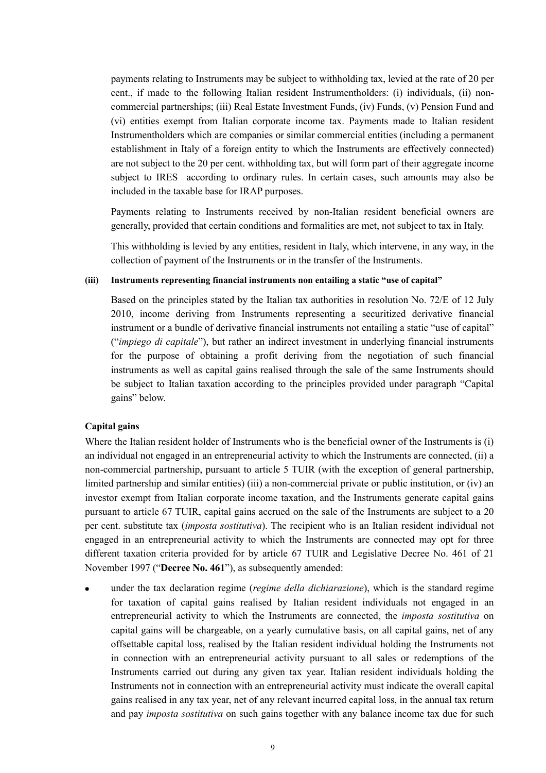payments relating to Instruments may be subject to withholding tax, levied at the rate of 20 per cent., if made to the following Italian resident Instrumentholders: (i) individuals, (ii) noncommercial partnerships; (iii) Real Estate Investment Funds, (iv) Funds, (v) Pension Fund and (vi) entities exempt from Italian corporate income tax. Payments made to Italian resident Instrumentholders which are companies or similar commercial entities (including a permanent establishment in Italy of a foreign entity to which the Instruments are effectively connected) are not subject to the 20 per cent. withholding tax, but will form part of their aggregate income subject to IRES according to ordinary rules. In certain cases, such amounts may also be included in the taxable base for IRAP purposes.

Payments relating to Instruments received by non-Italian resident beneficial owners are generally, provided that certain conditions and formalities are met, not subject to tax in Italy.

This withholding is levied by any entities, resident in Italy, which intervene, in any way, in the collection of payment of the Instruments or in the transfer of the Instruments.

### **(iii) Instruments representing financial instruments non entailing a static "use of capital"**

Based on the principles stated by the Italian tax authorities in resolution No. 72/E of 12 July 2010, income deriving from Instruments representing a securitized derivative financial instrument or a bundle of derivative financial instruments not entailing a static "use of capital" ("*impiego di capitale*"), but rather an indirect investment in underlying financial instruments for the purpose of obtaining a profit deriving from the negotiation of such financial instruments as well as capital gains realised through the sale of the same Instruments should be subject to Italian taxation according to the principles provided under paragraph "Capital gains" below.

## **Capital gains**

Where the Italian resident holder of Instruments who is the beneficial owner of the Instruments is (i) an individual not engaged in an entrepreneurial activity to which the Instruments are connected, (ii) a non-commercial partnership, pursuant to article 5 TUIR (with the exception of general partnership, limited partnership and similar entities) (iii) a non-commercial private or public institution, or (iv) an investor exempt from Italian corporate income taxation, and the Instruments generate capital gains pursuant to article 67 TUIR, capital gains accrued on the sale of the Instruments are subject to a 20 per cent. substitute tax (*imposta sostitutiva*). The recipient who is an Italian resident individual not engaged in an entrepreneurial activity to which the Instruments are connected may opt for three different taxation criteria provided for by article 67 TUIR and Legislative Decree No. 461 of 21 November 1997 ("**Decree No. 461**"), as subsequently amended:

 under the tax declaration regime (*regime della dichiarazione*), which is the standard regime for taxation of capital gains realised by Italian resident individuals not engaged in an entrepreneurial activity to which the Instruments are connected, the *imposta sostitutiva* on capital gains will be chargeable, on a yearly cumulative basis, on all capital gains, net of any offsettable capital loss, realised by the Italian resident individual holding the Instruments not in connection with an entrepreneurial activity pursuant to all sales or redemptions of the Instruments carried out during any given tax year. Italian resident individuals holding the Instruments not in connection with an entrepreneurial activity must indicate the overall capital gains realised in any tax year, net of any relevant incurred capital loss, in the annual tax return and pay *imposta sostitutiva* on such gains together with any balance income tax due for such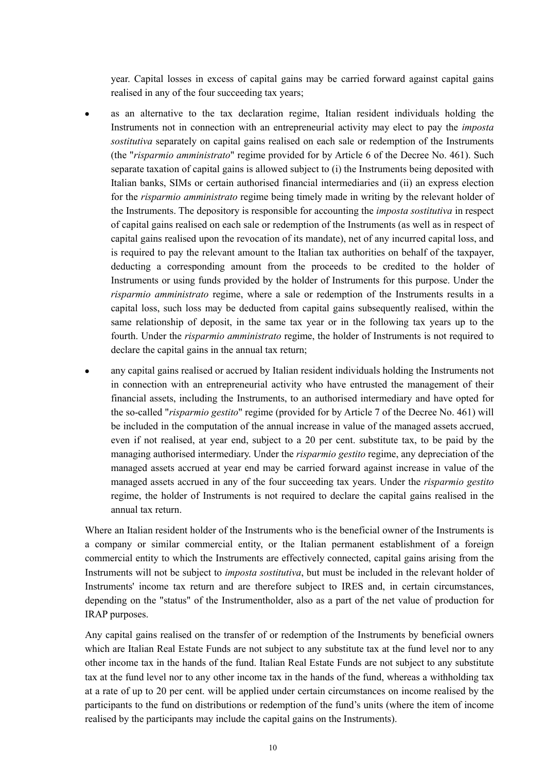year. Capital losses in excess of capital gains may be carried forward against capital gains realised in any of the four succeeding tax years;

- as an alternative to the tax declaration regime, Italian resident individuals holding the Instruments not in connection with an entrepreneurial activity may elect to pay the *imposta sostitutiva* separately on capital gains realised on each sale or redemption of the Instruments (the "*risparmio amministrato*" regime provided for by Article 6 of the Decree No. 461). Such separate taxation of capital gains is allowed subject to (i) the Instruments being deposited with Italian banks, SIMs or certain authorised financial intermediaries and (ii) an express election for the *risparmio amministrato* regime being timely made in writing by the relevant holder of the Instruments. The depository is responsible for accounting the *imposta sostitutiva* in respect of capital gains realised on each sale or redemption of the Instruments (as well as in respect of capital gains realised upon the revocation of its mandate), net of any incurred capital loss, and is required to pay the relevant amount to the Italian tax authorities on behalf of the taxpayer, deducting a corresponding amount from the proceeds to be credited to the holder of Instruments or using funds provided by the holder of Instruments for this purpose. Under the *risparmio amministrato* regime, where a sale or redemption of the Instruments results in a capital loss, such loss may be deducted from capital gains subsequently realised, within the same relationship of deposit, in the same tax year or in the following tax years up to the fourth. Under the *risparmio amministrato* regime, the holder of Instruments is not required to declare the capital gains in the annual tax return;
- any capital gains realised or accrued by Italian resident individuals holding the Instruments not in connection with an entrepreneurial activity who have entrusted the management of their financial assets, including the Instruments, to an authorised intermediary and have opted for the so-called "*risparmio gestito*" regime (provided for by Article 7 of the Decree No. 461) will be included in the computation of the annual increase in value of the managed assets accrued, even if not realised, at year end, subject to a 20 per cent. substitute tax, to be paid by the managing authorised intermediary. Under the *risparmio gestito* regime, any depreciation of the managed assets accrued at year end may be carried forward against increase in value of the managed assets accrued in any of the four succeeding tax years. Under the *risparmio gestito* regime, the holder of Instruments is not required to declare the capital gains realised in the annual tax return.

Where an Italian resident holder of the Instruments who is the beneficial owner of the Instruments is a company or similar commercial entity, or the Italian permanent establishment of a foreign commercial entity to which the Instruments are effectively connected, capital gains arising from the Instruments will not be subject to *imposta sostitutiva*, but must be included in the relevant holder of Instruments' income tax return and are therefore subject to IRES and, in certain circumstances, depending on the "status" of the Instrumentholder, also as a part of the net value of production for IRAP purposes.

Any capital gains realised on the transfer of or redemption of the Instruments by beneficial owners which are Italian Real Estate Funds are not subject to any substitute tax at the fund level nor to any other income tax in the hands of the fund. Italian Real Estate Funds are not subject to any substitute tax at the fund level nor to any other income tax in the hands of the fund, whereas a withholding tax at a rate of up to 20 per cent. will be applied under certain circumstances on income realised by the participants to the fund on distributions or redemption of the fund's units (where the item of income realised by the participants may include the capital gains on the Instruments).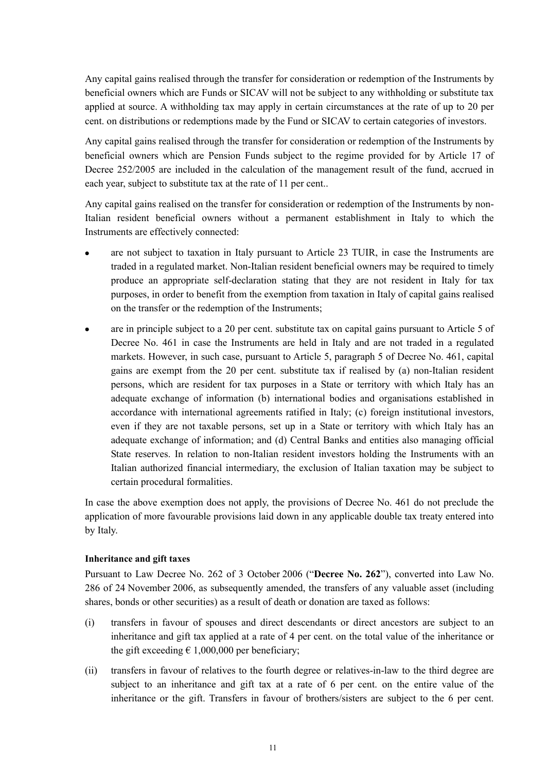Any capital gains realised through the transfer for consideration or redemption of the Instruments by beneficial owners which are Funds or SICAV will not be subject to any withholding or substitute tax applied at source. A withholding tax may apply in certain circumstances at the rate of up to 20 per cent. on distributions or redemptions made by the Fund or SICAV to certain categories of investors.

Any capital gains realised through the transfer for consideration or redemption of the Instruments by beneficial owners which are Pension Funds subject to the regime provided for by Article 17 of Decree 252/2005 are included in the calculation of the management result of the fund, accrued in each year, subject to substitute tax at the rate of 11 per cent..

Any capital gains realised on the transfer for consideration or redemption of the Instruments by non-Italian resident beneficial owners without a permanent establishment in Italy to which the Instruments are effectively connected:

- are not subject to taxation in Italy pursuant to Article 23 TUIR, in case the Instruments are traded in a regulated market. Non-Italian resident beneficial owners may be required to timely produce an appropriate self-declaration stating that they are not resident in Italy for tax purposes, in order to benefit from the exemption from taxation in Italy of capital gains realised on the transfer or the redemption of the Instruments;
- are in principle subject to a 20 per cent. substitute tax on capital gains pursuant to Article 5 of Decree No. 461 in case the Instruments are held in Italy and are not traded in a regulated markets. However, in such case, pursuant to Article 5, paragraph 5 of Decree No. 461, capital gains are exempt from the 20 per cent. substitute tax if realised by (a) non-Italian resident persons, which are resident for tax purposes in a State or territory with which Italy has an adequate exchange of information (b) international bodies and organisations established in accordance with international agreements ratified in Italy; (c) foreign institutional investors, even if they are not taxable persons, set up in a State or territory with which Italy has an adequate exchange of information; and (d) Central Banks and entities also managing official State reserves. In relation to non-Italian resident investors holding the Instruments with an Italian authorized financial intermediary, the exclusion of Italian taxation may be subject to certain procedural formalities.

In case the above exemption does not apply, the provisions of Decree No. 461 do not preclude the application of more favourable provisions laid down in any applicable double tax treaty entered into by Italy.

## **Inheritance and gift taxes**

Pursuant to Law Decree No. 262 of 3 October 2006 ("**Decree No. 262**"), converted into Law No. 286 of 24 November 2006, as subsequently amended, the transfers of any valuable asset (including shares, bonds or other securities) as a result of death or donation are taxed as follows:

- (i) transfers in favour of spouses and direct descendants or direct ancestors are subject to an inheritance and gift tax applied at a rate of 4 per cent. on the total value of the inheritance or the gift exceeding  $\epsilon$  1,000,000 per beneficiary;
- (ii) transfers in favour of relatives to the fourth degree or relatives-in-law to the third degree are subject to an inheritance and gift tax at a rate of 6 per cent. on the entire value of the inheritance or the gift. Transfers in favour of brothers/sisters are subject to the 6 per cent.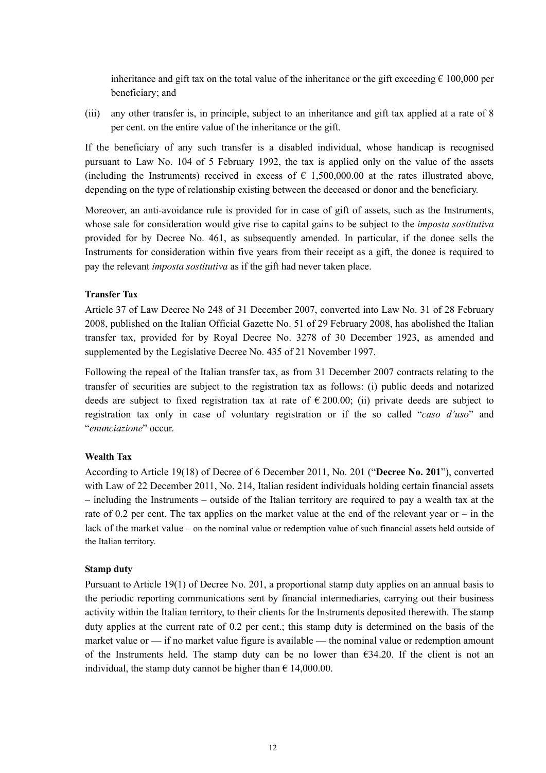inheritance and gift tax on the total value of the inheritance or the gift exceeding  $\epsilon$  100,000 per beneficiary; and

(iii) any other transfer is, in principle, subject to an inheritance and gift tax applied at a rate of 8 per cent. on the entire value of the inheritance or the gift.

If the beneficiary of any such transfer is a disabled individual, whose handicap is recognised pursuant to Law No. 104 of 5 February 1992, the tax is applied only on the value of the assets (including the Instruments) received in excess of  $\epsilon$  1,500,000.00 at the rates illustrated above, depending on the type of relationship existing between the deceased or donor and the beneficiary.

Moreover, an anti-avoidance rule is provided for in case of gift of assets, such as the Instruments, whose sale for consideration would give rise to capital gains to be subject to the *imposta sostitutiva* provided for by Decree No. 461, as subsequently amended. In particular, if the donee sells the Instruments for consideration within five years from their receipt as a gift, the donee is required to pay the relevant *imposta sostitutiva* as if the gift had never taken place.

#### **Transfer Tax**

Article 37 of Law Decree No 248 of 31 December 2007, converted into Law No. 31 of 28 February 2008, published on the Italian Official Gazette No. 51 of 29 February 2008, has abolished the Italian transfer tax, provided for by Royal Decree No. 3278 of 30 December 1923, as amended and supplemented by the Legislative Decree No. 435 of 21 November 1997.

Following the repeal of the Italian transfer tax, as from 31 December 2007 contracts relating to the transfer of securities are subject to the registration tax as follows: (i) public deeds and notarized deeds are subject to fixed registration tax at rate of  $\epsilon$  200.00; (ii) private deeds are subject to registration tax only in case of voluntary registration or if the so called "*caso d'uso*" and "*enunciazione*" occur.

## **Wealth Tax**

According to Article 19(18) of Decree of 6 December 2011, No. 201 ("**Decree No. 201**"), converted with Law of 22 December 2011, No. 214, Italian resident individuals holding certain financial assets – including the Instruments – outside of the Italian territory are required to pay a wealth tax at the rate of 0.2 per cent. The tax applies on the market value at the end of the relevant year or – in the lack of the market value – on the nominal value or redemption value of such financial assets held outside of the Italian territory.

#### **Stamp duty**

Pursuant to Article 19(1) of Decree No. 201, a proportional stamp duty applies on an annual basis to the periodic reporting communications sent by financial intermediaries, carrying out their business activity within the Italian territory, to their clients for the Instruments deposited therewith. The stamp duty applies at the current rate of 0.2 per cent.; this stamp duty is determined on the basis of the market value or — if no market value figure is available — the nominal value or redemption amount of the Instruments held. The stamp duty can be no lower than  $634.20$ . If the client is not an individual, the stamp duty cannot be higher than  $\epsilon$  14,000.00.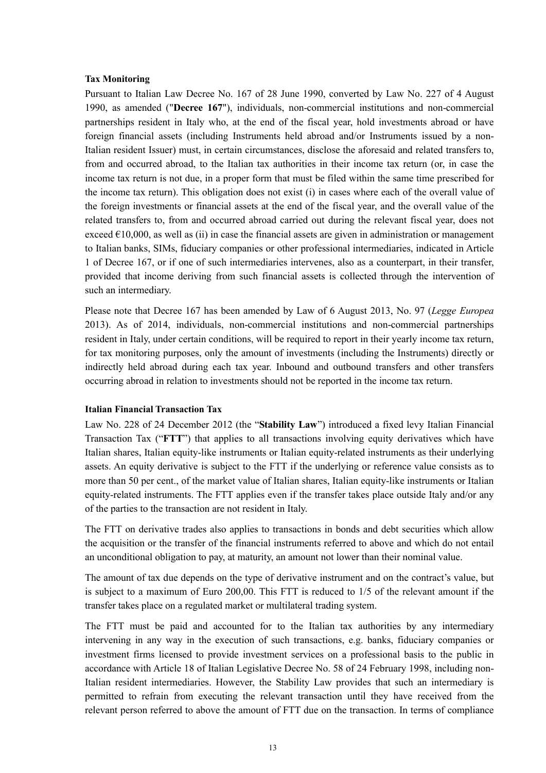#### **Tax Monitoring**

Pursuant to Italian Law Decree No. 167 of 28 June 1990, converted by Law No. 227 of 4 August 1990, as amended ("**Decree 167**"), individuals, non-commercial institutions and non-commercial partnerships resident in Italy who, at the end of the fiscal year, hold investments abroad or have foreign financial assets (including Instruments held abroad and/or Instruments issued by a non-Italian resident Issuer) must, in certain circumstances, disclose the aforesaid and related transfers to, from and occurred abroad, to the Italian tax authorities in their income tax return (or, in case the income tax return is not due, in a proper form that must be filed within the same time prescribed for the income tax return). This obligation does not exist (i) in cases where each of the overall value of the foreign investments or financial assets at the end of the fiscal year, and the overall value of the related transfers to, from and occurred abroad carried out during the relevant fiscal year, does not exceed  $\epsilon$ 10,000, as well as (ii) in case the financial assets are given in administration or management to Italian banks, SIMs, fiduciary companies or other professional intermediaries, indicated in Article 1 of Decree 167, or if one of such intermediaries intervenes, also as a counterpart, in their transfer, provided that income deriving from such financial assets is collected through the intervention of such an intermediary.

Please note that Decree 167 has been amended by Law of 6 August 2013, No. 97 (*Legge Europea* 2013). As of 2014, individuals, non-commercial institutions and non-commercial partnerships resident in Italy, under certain conditions, will be required to report in their yearly income tax return, for tax monitoring purposes, only the amount of investments (including the Instruments) directly or indirectly held abroad during each tax year. Inbound and outbound transfers and other transfers occurring abroad in relation to investments should not be reported in the income tax return.

#### **Italian Financial Transaction Tax**

Law No. 228 of 24 December 2012 (the "**Stability Law**") introduced a fixed levy Italian Financial Transaction Tax ("**FTT**") that applies to all transactions involving equity derivatives which have Italian shares, Italian equity-like instruments or Italian equity-related instruments as their underlying assets. An equity derivative is subject to the FTT if the underlying or reference value consists as to more than 50 per cent., of the market value of Italian shares, Italian equity-like instruments or Italian equity-related instruments. The FTT applies even if the transfer takes place outside Italy and/or any of the parties to the transaction are not resident in Italy.

The FTT on derivative trades also applies to transactions in bonds and debt securities which allow the acquisition or the transfer of the financial instruments referred to above and which do not entail an unconditional obligation to pay, at maturity, an amount not lower than their nominal value.

The amount of tax due depends on the type of derivative instrument and on the contract's value, but is subject to a maximum of Euro 200,00. This FTT is reduced to 1/5 of the relevant amount if the transfer takes place on a regulated market or multilateral trading system.

The FTT must be paid and accounted for to the Italian tax authorities by any intermediary intervening in any way in the execution of such transactions, e.g. banks, fiduciary companies or investment firms licensed to provide investment services on a professional basis to the public in accordance with Article 18 of Italian Legislative Decree No. 58 of 24 February 1998, including non-Italian resident intermediaries. However, the Stability Law provides that such an intermediary is permitted to refrain from executing the relevant transaction until they have received from the relevant person referred to above the amount of FTT due on the transaction. In terms of compliance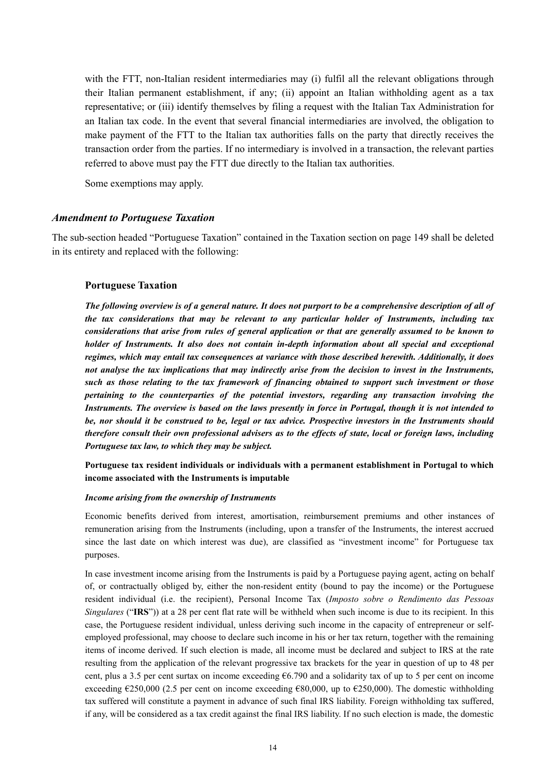with the FTT, non-Italian resident intermediaries may (i) fulfil all the relevant obligations through their Italian permanent establishment, if any; (ii) appoint an Italian withholding agent as a tax representative; or (iii) identify themselves by filing a request with the Italian Tax Administration for an Italian tax code. In the event that several financial intermediaries are involved, the obligation to make payment of the FTT to the Italian tax authorities falls on the party that directly receives the transaction order from the parties. If no intermediary is involved in a transaction, the relevant parties referred to above must pay the FTT due directly to the Italian tax authorities.

Some exemptions may apply.

## *Amendment to Portuguese Taxation*

The sub-section headed "Portuguese Taxation" contained in the Taxation section on page 149 shall be deleted in its entirety and replaced with the following:

#### **Portuguese Taxation**

*The following overview is of a general nature. It does not purport to be a comprehensive description of all of the tax considerations that may be relevant to any particular holder of Instruments, including tax considerations that arise from rules of general application or that are generally assumed to be known to holder of Instruments. It also does not contain in-depth information about all special and exceptional regimes, which may entail tax consequences at variance with those described herewith. Additionally, it does not analyse the tax implications that may indirectly arise from the decision to invest in the Instruments, such as those relating to the tax framework of financing obtained to support such investment or those pertaining to the counterparties of the potential investors, regarding any transaction involving the Instruments. The overview is based on the laws presently in force in Portugal, though it is not intended to be, nor should it be construed to be, legal or tax advice. Prospective investors in the Instruments should therefore consult their own professional advisers as to the effects of state, local or foreign laws, including Portuguese tax law, to which they may be subject.*

## **Portuguese tax resident individuals or individuals with a permanent establishment in Portugal to which income associated with the Instruments is imputable**

#### *Income arising from the ownership of Instruments*

Economic benefits derived from interest, amortisation, reimbursement premiums and other instances of remuneration arising from the Instruments (including, upon a transfer of the Instruments, the interest accrued since the last date on which interest was due), are classified as "investment income" for Portuguese tax purposes.

In case investment income arising from the Instruments is paid by a Portuguese paying agent, acting on behalf of, or contractually obliged by, either the non-resident entity (bound to pay the income) or the Portuguese resident individual (i.e. the recipient), Personal Income Tax (*Imposto sobre o Rendimento das Pessoas Singulares* ("**IRS**")) at a 28 per cent flat rate will be withheld when such income is due to its recipient. In this case, the Portuguese resident individual, unless deriving such income in the capacity of entrepreneur or selfemployed professional, may choose to declare such income in his or her tax return, together with the remaining items of income derived. If such election is made, all income must be declared and subject to IRS at the rate resulting from the application of the relevant progressive tax brackets for the year in question of up to 48 per cent, plus a 3.5 per cent surtax on income exceeding €6.790 and a solidarity tax of up to 5 per cent on income exceeding  $\epsilon$ 250,000 (2.5 per cent on income exceeding  $\epsilon$ 80,000, up to  $\epsilon$ 250,000). The domestic withholding tax suffered will constitute a payment in advance of such final IRS liability. Foreign withholding tax suffered, if any, will be considered as a tax credit against the final IRS liability. If no such election is made, the domestic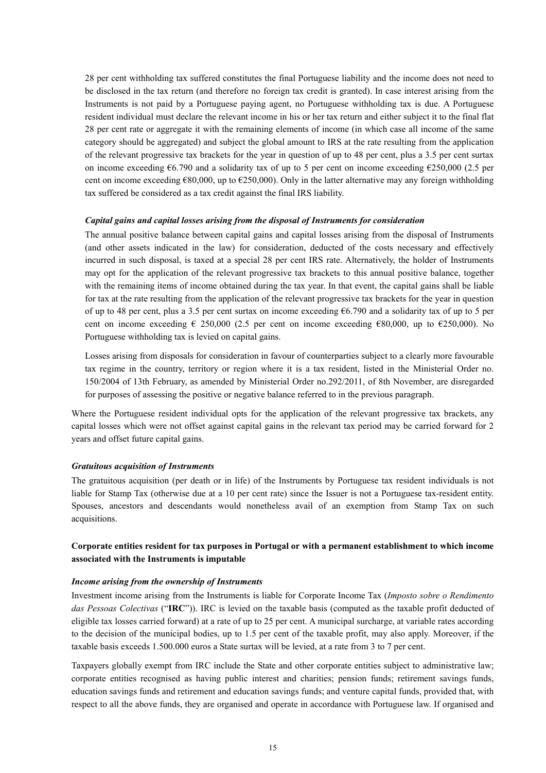28 per cent withholding tax suffered constitutes the final Portuguese liability and the income does not need to be disclosed in the tax return (and therefore no foreign tax credit is granted). In case interest arising from the Instruments is not paid by a Portuguese paying agent, no Portuguese withholding tax is due. A Portuguese resident individual must declare the relevant income in his or her tax return and either subject it to the final flat 28 per cent rate or aggregate it with the remaining elements of income (in which case all income of the same category should be aggregated) and subject the global amount to IRS at the rate resulting from the application of the relevant progressive tax brackets for the year in question of up to 48 per cent, plus a 3.5 per cent surtax on income exceeding €6.790 and a solidarity tax of up to 5 per cent on income exceeding €250,000 (2.5 per cent on income exceeding  $\epsilon$ 80,000, up to  $\epsilon$ 250,000). Only in the latter alternative may any foreign withholding tax suffered be considered as a tax credit against the final IRS liability.

#### *Capital gains and capital losses arising from the disposal of Instruments for consideration*

The annual positive balance between capital gains and capital losses arising from the disposal of Instruments (and other assets indicated in the law) for consideration, deducted of the costs necessary and effectively incurred in such disposal, is taxed at a special 28 per cent IRS rate. Alternatively, the holder of Instruments may opt for the application of the relevant progressive tax brackets to this annual positive balance, together with the remaining items of income obtained during the tax year. In that event, the capital gains shall be liable for tax at the rate resulting from the application of the relevant progressive tax brackets for the year in question of up to 48 per cent, plus a 3.5 per cent surtax on income exceeding €6.790 and a solidarity tax of up to 5 per cent on income exceeding  $\epsilon$  250,000 (2.5 per cent on income exceeding  $\epsilon$ 80,000, up to  $\epsilon$ 250,000). No Portuguese withholding tax is levied on capital gains.

Losses arising from disposals for consideration in favour of counterparties subject to a clearly more favourable tax regime in the country, territory or region where it is a tax resident, listed in the Ministerial Order no. 150/2004 of 13th February, as amended by Ministerial Order no.292/2011, of 8th November, are disregarded for purposes of assessing the positive or negative balance referred to in the previous paragraph.

Where the Portuguese resident individual opts for the application of the relevant progressive tax brackets, any capital losses which were not offset against capital gains in the relevant tax period may be carried forward for 2 years and offset future capital gains.

#### *Gratuitous acquisition of Instruments*

The gratuitous acquisition (per death or in life) of the Instruments by Portuguese tax resident individuals is not liable for Stamp Tax (otherwise due at a 10 per cent rate) since the Issuer is not a Portuguese tax-resident entity. Spouses, ancestors and descendants would nonetheless avail of an exemption from Stamp Tax on such acquisitions.

## **Corporate entities resident for tax purposes in Portugal or with a permanent establishment to which income associated with the Instruments is imputable**

#### *Income arising from the ownership of Instruments*

Investment income arising from the Instruments is liable for Corporate Income Tax (*Imposto sobre o Rendimento das Pessoas Colectivas* ("**IRC**")). IRC is levied on the taxable basis (computed as the taxable profit deducted of eligible tax losses carried forward) at a rate of up to 25 per cent. A municipal surcharge, at variable rates according to the decision of the municipal bodies, up to 1.5 per cent of the taxable profit, may also apply. Moreover, if the taxable basis exceeds 1.500.000 euros a State surtax will be levied, at a rate from 3 to 7 per cent.

Taxpayers globally exempt from IRC include the State and other corporate entities subject to administrative law; corporate entities recognised as having public interest and charities; pension funds; retirement savings funds, education savings funds and retirement and education savings funds; and venture capital funds, provided that, with respect to all the above funds, they are organised and operate in accordance with Portuguese law. If organised and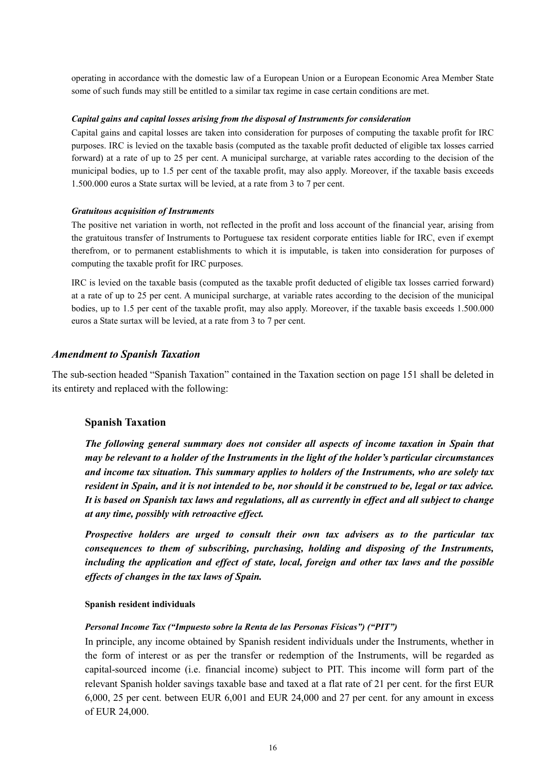operating in accordance with the domestic law of a European Union or a European Economic Area Member State some of such funds may still be entitled to a similar tax regime in case certain conditions are met.

#### *Capital gains and capital losses arising from the disposal of Instruments for consideration*

Capital gains and capital losses are taken into consideration for purposes of computing the taxable profit for IRC purposes. IRC is levied on the taxable basis (computed as the taxable profit deducted of eligible tax losses carried forward) at a rate of up to 25 per cent. A municipal surcharge, at variable rates according to the decision of the municipal bodies, up to 1.5 per cent of the taxable profit, may also apply. Moreover, if the taxable basis exceeds 1.500.000 euros a State surtax will be levied, at a rate from 3 to 7 per cent.

#### *Gratuitous acquisition of Instruments*

The positive net variation in worth, not reflected in the profit and loss account of the financial year, arising from the gratuitous transfer of Instruments to Portuguese tax resident corporate entities liable for IRC, even if exempt therefrom, or to permanent establishments to which it is imputable, is taken into consideration for purposes of computing the taxable profit for IRC purposes.

IRC is levied on the taxable basis (computed as the taxable profit deducted of eligible tax losses carried forward) at a rate of up to 25 per cent. A municipal surcharge, at variable rates according to the decision of the municipal bodies, up to 1.5 per cent of the taxable profit, may also apply. Moreover, if the taxable basis exceeds 1.500.000 euros a State surtax will be levied, at a rate from 3 to 7 per cent.

#### *Amendment to Spanish Taxation*

The sub-section headed "Spanish Taxation" contained in the Taxation section on page 151 shall be deleted in its entirety and replaced with the following:

#### **Spanish Taxation**

*The following general summary does not consider all aspects of income taxation in Spain that may be relevant to a holder of the Instruments in the light of the holder's particular circumstances and income tax situation. This summary applies to holders of the Instruments, who are solely tax resident in Spain, and it is not intended to be, nor should it be construed to be, legal or tax advice. It is based on Spanish tax laws and regulations, all as currently in effect and all subject to change at any time, possibly with retroactive effect.* 

*Prospective holders are urged to consult their own tax advisers as to the particular tax consequences to them of subscribing, purchasing, holding and disposing of the Instruments, including the application and effect of state, local, foreign and other tax laws and the possible effects of changes in the tax laws of Spain.*

#### **Spanish resident individuals**

#### *Personal Income Tax ("Impuesto sobre la Renta de las Personas Físicas") ("PIT")*

In principle, any income obtained by Spanish resident individuals under the Instruments, whether in the form of interest or as per the transfer or redemption of the Instruments, will be regarded as capital-sourced income (i.e. financial income) subject to PIT. This income will form part of the relevant Spanish holder savings taxable base and taxed at a flat rate of 21 per cent. for the first EUR 6,000, 25 per cent. between EUR 6,001 and EUR 24,000 and 27 per cent. for any amount in excess of EUR 24,000.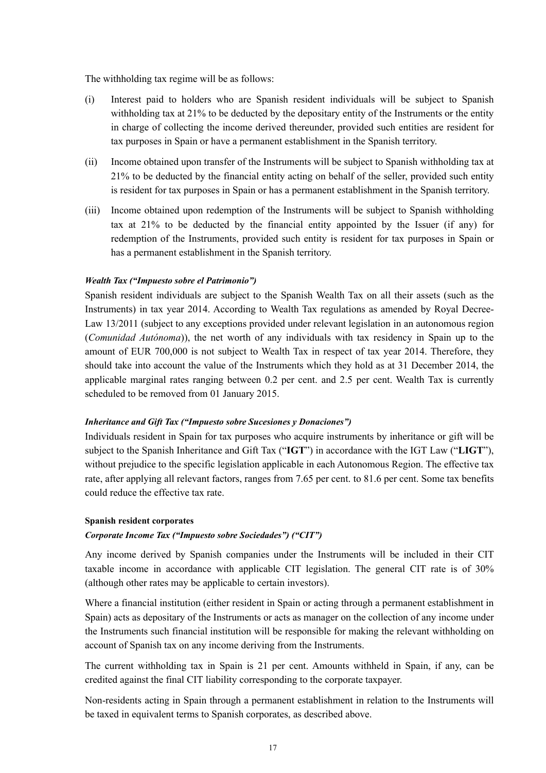The withholding tax regime will be as follows:

- (i) Interest paid to holders who are Spanish resident individuals will be subject to Spanish withholding tax at 21% to be deducted by the depositary entity of the Instruments or the entity in charge of collecting the income derived thereunder, provided such entities are resident for tax purposes in Spain or have a permanent establishment in the Spanish territory.
- (ii) Income obtained upon transfer of the Instruments will be subject to Spanish withholding tax at 21% to be deducted by the financial entity acting on behalf of the seller, provided such entity is resident for tax purposes in Spain or has a permanent establishment in the Spanish territory.
- (iii) Income obtained upon redemption of the Instruments will be subject to Spanish withholding tax at 21% to be deducted by the financial entity appointed by the Issuer (if any) for redemption of the Instruments, provided such entity is resident for tax purposes in Spain or has a permanent establishment in the Spanish territory.

#### *Wealth Tax ("Impuesto sobre el Patrimonio")*

Spanish resident individuals are subject to the Spanish Wealth Tax on all their assets (such as the Instruments) in tax year 2014. According to Wealth Tax regulations as amended by Royal Decree-Law 13/2011 (subject to any exceptions provided under relevant legislation in an autonomous region (*Comunidad Autónoma*)), the net worth of any individuals with tax residency in Spain up to the amount of EUR 700,000 is not subject to Wealth Tax in respect of tax year 2014. Therefore, they should take into account the value of the Instruments which they hold as at 31 December 2014, the applicable marginal rates ranging between 0.2 per cent. and 2.5 per cent. Wealth Tax is currently scheduled to be removed from 01 January 2015.

#### *Inheritance and Gift Tax ("Impuesto sobre Sucesiones y Donaciones")*

Individuals resident in Spain for tax purposes who acquire instruments by inheritance or gift will be subject to the Spanish Inheritance and Gift Tax ("**IGT**") in accordance with the IGT Law ("**LIGT**"), without prejudice to the specific legislation applicable in each Autonomous Region. The effective tax rate, after applying all relevant factors, ranges from 7.65 per cent. to 81.6 per cent. Some tax benefits could reduce the effective tax rate.

## **Spanish resident corporates**

## *Corporate Income Tax ("Impuesto sobre Sociedades") ("CIT")*

Any income derived by Spanish companies under the Instruments will be included in their CIT taxable income in accordance with applicable CIT legislation. The general CIT rate is of 30% (although other rates may be applicable to certain investors).

Where a financial institution (either resident in Spain or acting through a permanent establishment in Spain) acts as depositary of the Instruments or acts as manager on the collection of any income under the Instruments such financial institution will be responsible for making the relevant withholding on account of Spanish tax on any income deriving from the Instruments.

The current withholding tax in Spain is 21 per cent. Amounts withheld in Spain, if any, can be credited against the final CIT liability corresponding to the corporate taxpayer.

Non-residents acting in Spain through a permanent establishment in relation to the Instruments will be taxed in equivalent terms to Spanish corporates, as described above.